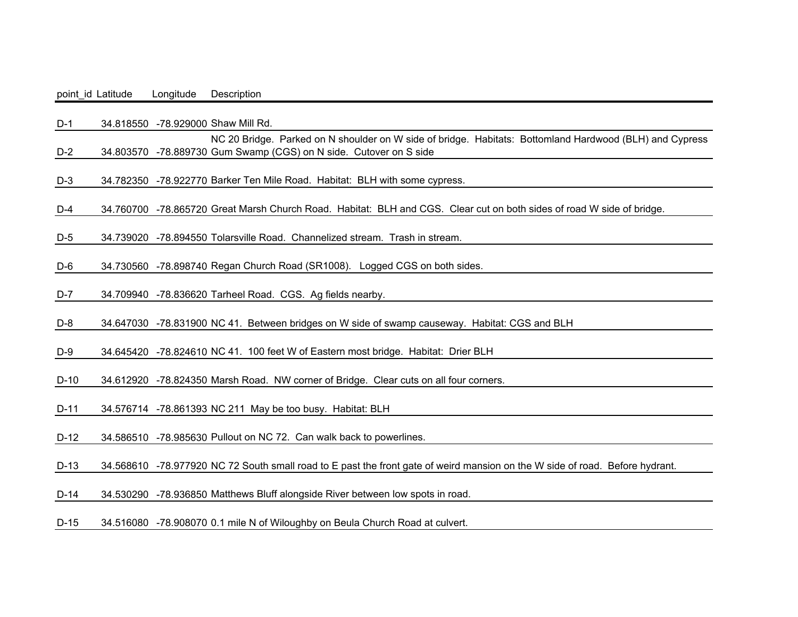point id Latitude Longitude Description

D-1 34.818550 -78.929000 Shaw Mill Rd. D-2 34.803570 -78.889730 Gum Swamp (CGS) on N side. Cutover on S sideNC 20 Bridge. Parked on N shoulder on W side of bridge. Habitats: Bottomland Hardwood (BLH) and Cypress D-3 34.782350 -78.922770 Barker Ten Mile Road. Habitat: BLH with some cypress. D-4 34.760700 -78.865720 Great Marsh Church Road. Habitat: BLH and CGS. Clear cut on both sides of road W side of bridge. D-5 34.739020 -78.894550 Tolarsville Road. Channelized stream. Trash in stream. D-6 34.730560 -78.898740 Regan Church Road (SR1008). Logged CGS on both sides. D-7 34.709940 -78.836620 Tarheel Road. CGS. Ag fields nearby. D-8 34.647030 -78.831900 NC 41. Between bridges on W side of swamp causeway. Habitat: CGS and BLH D-9 34.645420 -78.824610 NC 41. 100 feet W of Eastern most bridge. Habitat: Drier BLH D-10 34.612920 -78.824350 Marsh Road. NW corner of Bridge. Clear cuts on all four corners. D-11 34.576714 -78.861393 NC 211 May be too busy. Habitat: BLH D-12 34.586510 -78.985630 Pullout on NC 72. Can walk back to powerlines.

D-13 34.568610 -78.977920 NC 72 South small road to E past the front gate of weird mansion on the W side of road. Before hydrant.

D-14 34.530290 -78.936850 Matthews Bluff alongside River between low spots in road.

D-15 34.516080 -78.908070 0.1 mile N of Wiloughby on Beula Church Road at culvert.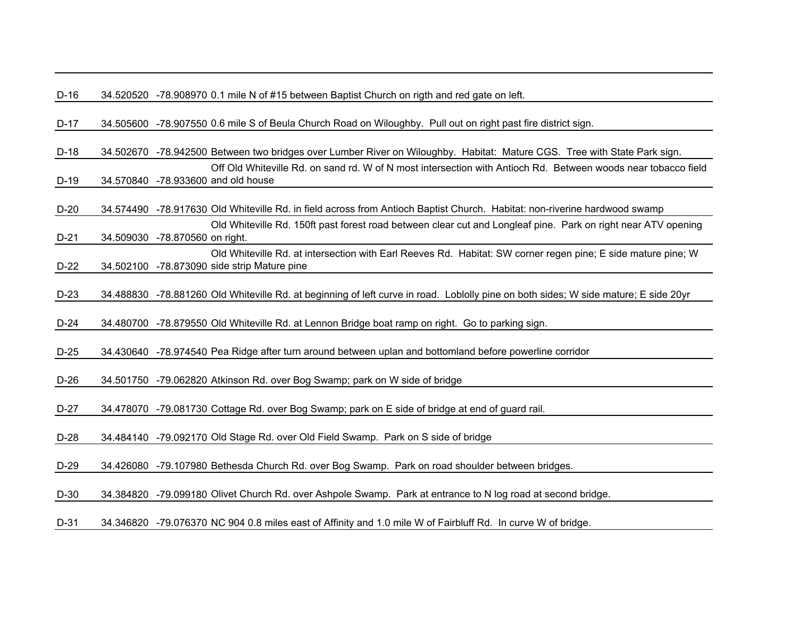| D-16. | 34.520520 -78.908970 0.1 mile N of #15 between Baptist Church on rigth and red gate on left. |  |
|-------|----------------------------------------------------------------------------------------------|--|
|       |                                                                                              |  |

D-17 34.505600 -78.907550 0.6 mile S of Beula Church Road on Wiloughby. Pull out on right past fire district sign.

D-18 34.502670 -78.942500 Between two bridges over Lumber River on Wiloughby. Habitat: Mature CGS. Tree with State Park sign. D-19 34.570840 -78.933600 and old house Off Old Whiteville Rd. on sand rd. W of N most intersection with Antioch Rd. Between woods near tobacco field

D-20 34.574490 -78.917630 Old Whiteville Rd. in field across from Antioch Baptist Church. Habitat: non-riverine hardwood swamp

D-21 34.509030 -78.870560 on right.Old Whiteville Rd. 150ft past forest road between clear cut and Longleaf pine. Park on right near ATV opening

D-22 34.502100 -78.873090 side strip Mature pineOld Whiteville Rd. at intersection with Earl Reeves Rd. Habitat: SW corner regen pine; E side mature pine; W

D-23 34.488830 -78.881260 Old Whiteville Rd. at beginning of left curve in road. Loblolly pine on both sides; W side mature; E side 20yr

D-24 34.480700 -78.879550 Old Whiteville Rd. at Lennon Bridge boat ramp on right. Go to parking sign.

D-25 34.430640 -78.974540 Pea Ridge after turn around between uplan and bottomland before powerline corridor

D-26 34.501750 -79.062820 Atkinson Rd. over Bog Swamp; park on W side of bridge

D-27 34.478070 -79.081730 Cottage Rd. over Bog Swamp; park on E side of bridge at end of guard rail.

D-28 34.484140 -79.092170 Old Stage Rd. over Old Field Swamp. Park on S side of bridge

D-29 34.426080 -79.107980 Bethesda Church Rd. over Bog Swamp. Park on road shoulder between bridges.

D-30 34.384820 -79.099180 Olivet Church Rd. over Ashpole Swamp. Park at entrance to N log road at second bridge.

D-31 34.346820 -79.076370 NC 904 0.8 miles east of Affinity and 1.0 mile W of Fairbluff Rd. In curve W of bridge.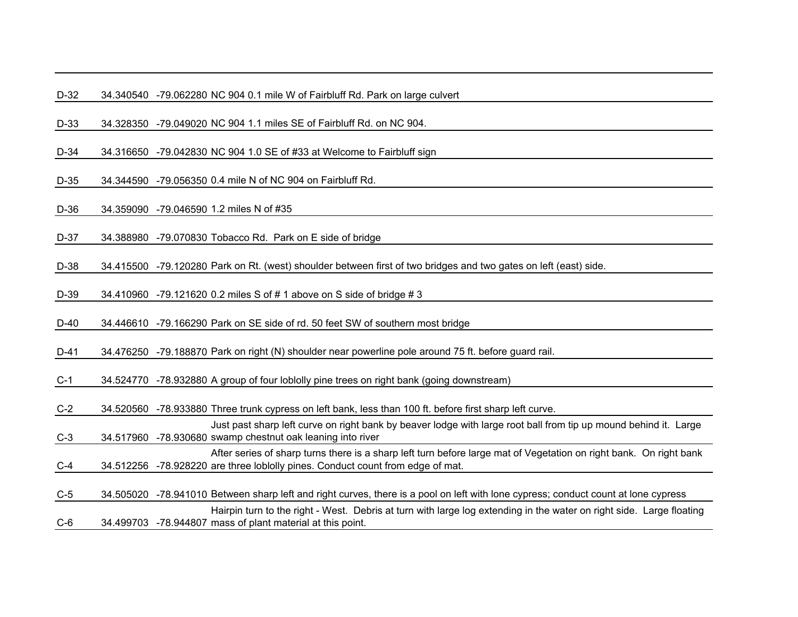D-32 34.340540 -79.062280 NC 904 0.1 mile W of Fairbluff Rd. Park on large culvert

D-33 34.328350 -79.049020 NC 904 1.1 miles SE of Fairbluff Rd. on NC 904.

D-34 34.316650 -79.042830 NC 904 1.0 SE of #33 at Welcome to Fairbluff sign

D-35 34.344590 -79.056350 0.4 mile N of NC 904 on Fairbluff Rd.

D-36 34.359090 -79.046590 1.2 miles N of #35

D-37 34.388980 -79.070830 Tobacco Rd. Park on E side of bridge

D-38 34.415500 -79.120280 Park on Rt. (west) shoulder between first of two bridges and two gates on left (east) side.

D-39 34.410960 -79.121620 0.2 miles S of # 1 above on S side of bridge # 3

D-40 34.446610 -79.166290 Park on SE side of rd. 50 feet SW of southern most bridge

D-41 34.476250 -79.188870 Park on right (N) shoulder near powerline pole around 75 ft. before guard rail.

C-1 34.524770 -78.932880 A group of four loblolly pine trees on right bank (going downstream)

C-2 34.520560 -78.933880 Three trunk cypress on left bank, less than 100 ft. before first sharp left curve.

C-3 34.517960 -78.930680 swamp chestnut oak leaning into river Just past sharp left curve on right bank by beaver lodge with large root ball from tip up mound behind it. Large C-4 34.512256 -78.928220 are three loblolly pines. Conduct count from edge of mat. After series of sharp turns there is a sharp left turn before large mat of Vegetation on right bank. On right bank

C-5 34.505020 -78.941010 Between sharp left and right curves, there is a pool on left with lone cypress; conduct count at lone cypress C-6 34.499703 -78.944807 mass of plant material at this point.Hairpin turn to the right - West. Debris at turn with large log extending in the water on right side. Large floating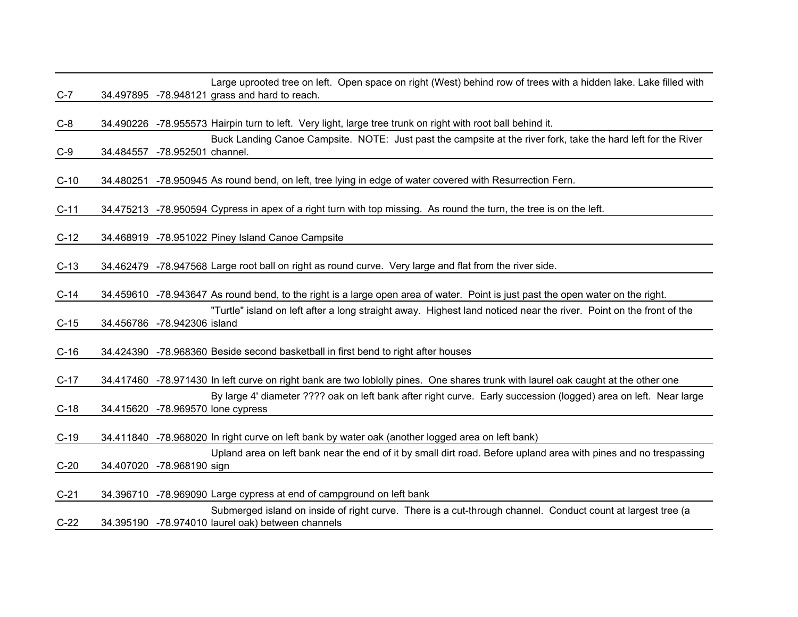| $C-7$  |           | Large uprooted tree on left. Open space on right (West) behind row of trees with a hidden lake. Lake filled with<br>34.497895 -78.948121 grass and hard to reach. |
|--------|-----------|-------------------------------------------------------------------------------------------------------------------------------------------------------------------|
| $C-8$  |           | 34.490226 -78.955573 Hairpin turn to left. Very light, large tree trunk on right with root ball behind it.                                                        |
| $C-9$  | 34.484557 | Buck Landing Canoe Campsite. NOTE: Just past the campsite at the river fork, take the hard left for the River<br>-78.952501 channel.                              |
| $C-10$ |           | 34.480251 -78.950945 As round bend, on left, tree lying in edge of water covered with Resurrection Fern.                                                          |
| $C-11$ |           | 34.475213 -78.950594 Cypress in apex of a right turn with top missing. As round the turn, the tree is on the left.                                                |
| $C-12$ |           | 34.468919 -78.951022 Piney Island Canoe Campsite                                                                                                                  |
| $C-13$ |           | 34.462479 -78.947568 Large root ball on right as round curve. Very large and flat from the river side.                                                            |
| $C-14$ |           | 34.459610 -78.943647 As round bend, to the right is a large open area of water. Point is just past the open water on the right.                                   |
| $C-15$ |           | "Turtle" island on left after a long straight away. Highest land noticed near the river. Point on the front of the<br>34.456786 -78.942306 island                 |
| $C-16$ |           | 34.424390 -78.968360 Beside second basketball in first bend to right after houses                                                                                 |
| $C-17$ |           | 34.417460 -78.971430 In left curve on right bank are two loblolly pines. One shares trunk with laurel oak caught at the other one                                 |
| $C-18$ |           | By large 4' diameter ???? oak on left bank after right curve. Early succession (logged) area on left. Near large<br>34.415620 -78.969570 lone cypress             |
| $C-19$ |           | 34.411840 -78.968020 In right curve on left bank by water oak (another logged area on left bank)                                                                  |
| $C-20$ |           | Upland area on left bank near the end of it by small dirt road. Before upland area with pines and no trespassing<br>34.407020 -78.968190 sign                     |
| $C-21$ |           | 34.396710 -78.969090 Large cypress at end of campground on left bank                                                                                              |
| $C-22$ |           | Submerged island on inside of right curve. There is a cut-through channel. Conduct count at largest tree (a<br>34.395190 -78.974010 laurel oak) between channels  |